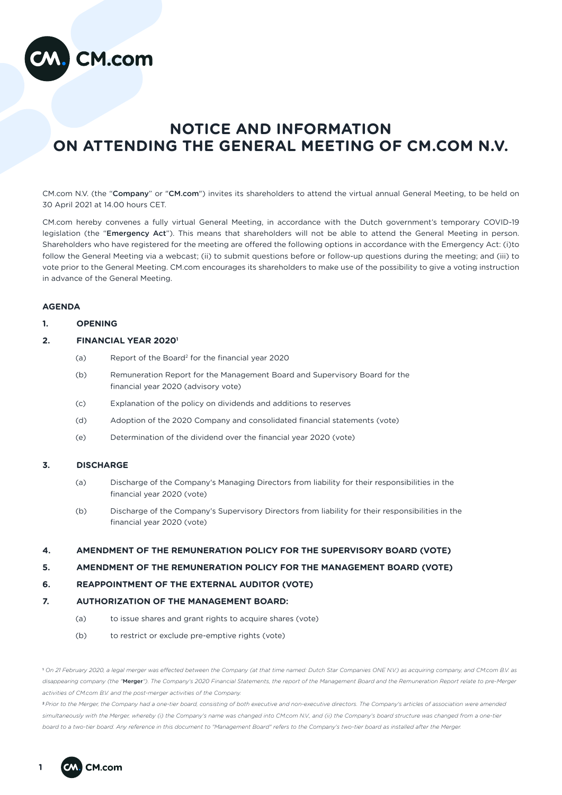

# **NOTICE AND INFORMATION ON ATTENDING THE GENERAL MEETING OF CM.COM N.V.**

CM.com N.V. (the "Company" or "CM.com") invites its shareholders to attend the virtual annual General Meeting, to be held on 30 April 2021 at 14.00 hours CET.

CM.com hereby convenes a fully virtual General Meeting, in accordance with the Dutch government's temporary COVID-19 legislation (the "Emergency Act"). This means that shareholders will not be able to attend the General Meeting in person. Shareholders who have registered for the meeting are offered the following options in accordance with the Emergency Act: (i)to follow the General Meeting via a webcast; (ii) to submit questions before or follow-up questions during the meeting; and (iii) to vote prior to the General Meeting. CM.com encourages its shareholders to make use of the possibility to give a voting instruction in advance of the General Meeting.

## **AGENDA**

## **1. OPENING**

## **2. FINANCIAL YEAR 20201**

- (a) Report of the Board2 for the financial year 2020
- (b) Remuneration Report for the Management Board and Supervisory Board for the financial year 2020 (advisory vote)
- (c) Explanation of the policy on dividends and additions to reserves
- (d) Adoption of the 2020 Company and consolidated financial statements (vote)
- (e) Determination of the dividend over the financial year 2020 (vote)

## **3. DISCHARGE**

- (a) Discharge of the Company's Managing Directors from liability for their responsibilities in the financial year 2020 (vote)
- (b) Discharge of the Company's Supervisory Directors from liability for their responsibilities in the financial year 2020 (vote)

## **4. AMENDMENT OF THE REMUNERATION POLICY FOR THE SUPERVISORY BOARD (VOTE)**

## **5. AMENDMENT OF THE REMUNERATION POLICY FOR THE MANAGEMENT BOARD (VOTE)**

# **6. REAPPOINTMENT OF THE EXTERNAL AUDITOR (VOTE)**

## **7. AUTHORIZATION OF THE MANAGEMENT BOARD:**

- (a) to issue shares and grant rights to acquire shares (vote)
- (b) to restrict or exclude pre-emptive rights (vote)

1  *On 21 February 2020, a legal merger was effected between the Company (at that time named: Dutch Star Companies ONE N.V.) as acquiring company, and CM.com B.V. as disappearing company (the "*Merger*"). The Company's 2020 Financial Statements, the report of the Management Board and the Remuneration Report relate to pre-Merger activities of CM.com B.V. and the post-merger activities of the Company.*

<sup>2</sup>*Prior to the Merger, the Company had a one-tier board, consisting of both executive and non-executive directors. The Company's articles of association were amended*  simultaneously with the Merger, whereby (i) the Company's name was changed into CM.com N.V., and (ii) the Company's board structure was changed from a one-tier *board to a two-tier board. Any reference in this document to "Management Board" refers to the Company's two-tier board as installed after the Merger.*

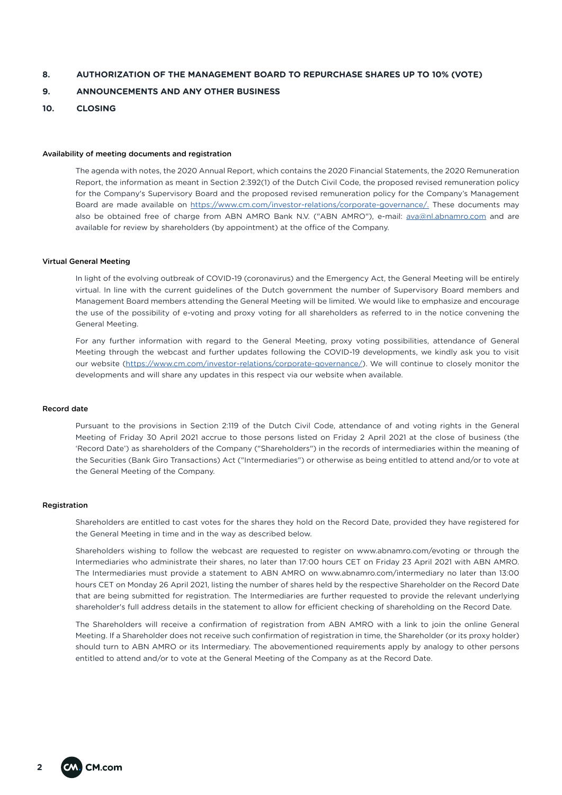## **8. AUTHORIZATION OF THE MANAGEMENT BOARD TO REPURCHASE SHARES UP TO 10% (VOTE)**

## **9. ANNOUNCEMENTS AND ANY OTHER BUSINESS**

## **10. CLOSING**

#### Availability of meeting documents and registration

The agenda with notes, the 2020 Annual Report, which contains the 2020 Financial Statements, the 2020 Remuneration Report, the information as meant in Section 2:392(1) of the Dutch Civil Code, the proposed revised remuneration policy for the Company's Supervisory Board and the proposed revised remuneration policy for the Company's Management Board are made available on <https://www.cm.com/investor-relations/corporate-governance/.> These documents may also be obtained free of charge from ABN AMRO Bank N.V. ("ABN AMRO"), e-mail: [ava@nl.abnamro.com](mailto:ava@nl.abnamro.com) and are available for review by shareholders (by appointment) at the office of the Company.

#### Virtual General Meeting

In light of the evolving outbreak of COVID-19 (coronavirus) and the Emergency Act, the General Meeting will be entirely virtual. In line with the current guidelines of the Dutch government the number of Supervisory Board members and Management Board members attending the General Meeting will be limited. We would like to emphasize and encourage the use of the possibility of e-voting and proxy voting for all shareholders as referred to in the notice convening the General Meeting.

For any further information with regard to the General Meeting, proxy voting possibilities, attendance of General Meeting through the webcast and further updates following the COVID-19 developments, we kindly ask you to visit our website [\(https://www.cm.com/investor-relations/corporate-governance/\)](https://www.cm.com/investor-relations/corporate-governance/). We will continue to closely monitor the developments and will share any updates in this respect via our website when available.

## Record date

Pursuant to the provisions in Section 2:119 of the Dutch Civil Code, attendance of and voting rights in the General Meeting of Friday 30 April 2021 accrue to those persons listed on Friday 2 April 2021 at the close of business (the 'Record Date') as shareholders of the Company ("Shareholders") in the records of intermediaries within the meaning of the Securities (Bank Giro Transactions) Act ("Intermediaries") or otherwise as being entitled to attend and/or to vote at the General Meeting of the Company.

#### Registration

Shareholders are entitled to cast votes for the shares they hold on the Record Date, provided they have registered for the General Meeting in time and in the way as described below.

Shareholders wishing to follow the webcast are requested to register on www.abnamro.com/evoting or through the Intermediaries who administrate their shares, no later than 17:00 hours CET on Friday 23 April 2021 with ABN AMRO. The Intermediaries must provide a statement to ABN AMRO on www.abnamro.com/intermediary no later than 13:00 hours CET on Monday 26 April 2021, listing the number of shares held by the respective Shareholder on the Record Date that are being submitted for registration. The Intermediaries are further requested to provide the relevant underlying shareholder's full address details in the statement to allow for efficient checking of shareholding on the Record Date.

The Shareholders will receive a confirmation of registration from ABN AMRO with a link to join the online General Meeting. If a Shareholder does not receive such confirmation of registration in time, the Shareholder (or its proxy holder) should turn to ABN AMRO or its Intermediary. The abovementioned requirements apply by analogy to other persons entitled to attend and/or to vote at the General Meeting of the Company as at the Record Date.